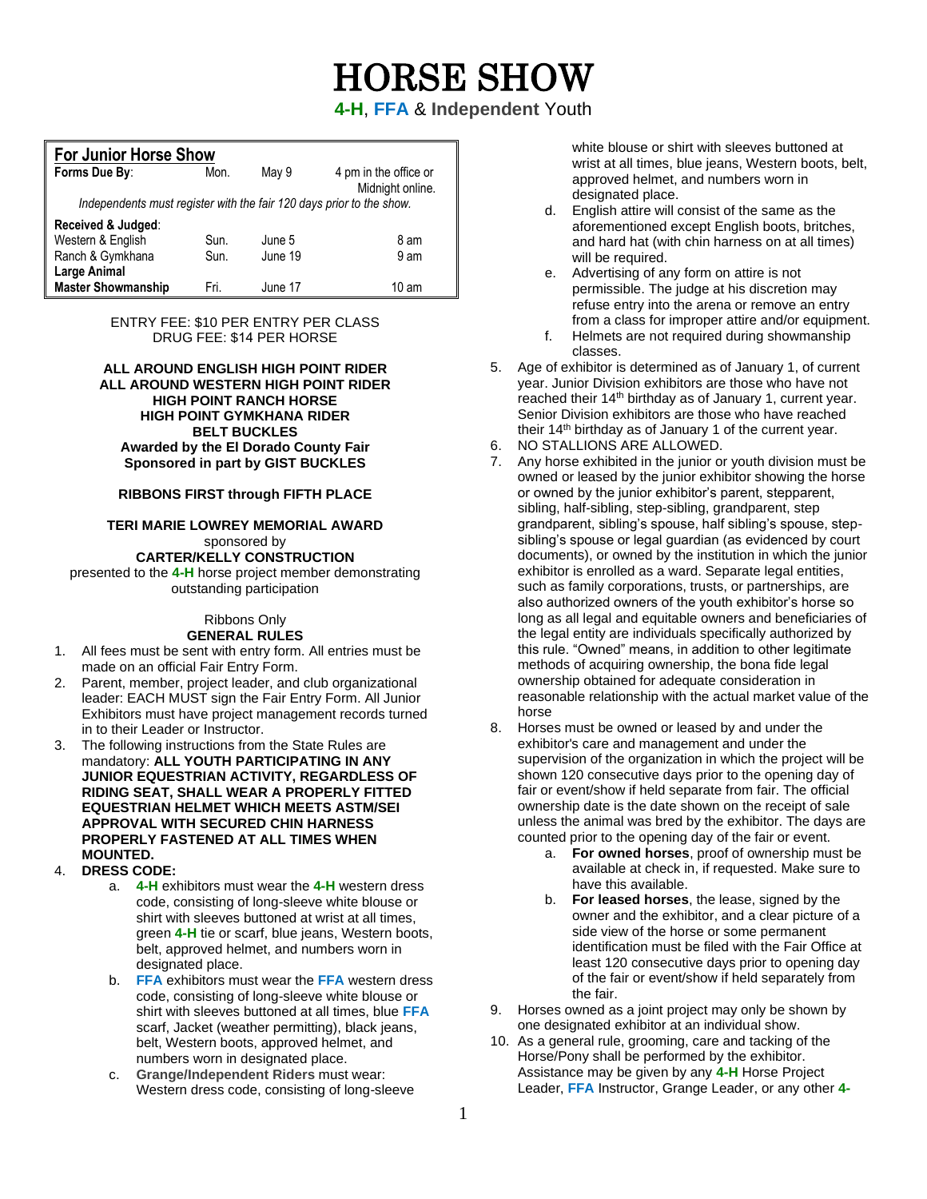# HORSE SHOW

**4-H**, **FFA** & **Independent** Youth

| <b>For Junior Horse Show</b>                                         |      |         |                                           |
|----------------------------------------------------------------------|------|---------|-------------------------------------------|
| Forms Due By:                                                        | Mon. | May 9   | 4 pm in the office or<br>Midnight online. |
| Independents must register with the fair 120 days prior to the show. |      |         |                                           |
| Received & Judged:                                                   |      |         |                                           |
| Western & English                                                    | Sun. | June 5  | 8 am                                      |
| Ranch & Gymkhana                                                     | Sun. | June 19 | 9 am                                      |
| <b>Large Animal</b>                                                  |      |         |                                           |
| <b>Master Showmanship</b>                                            | Fri. | June 17 | 10 am                                     |

ENTRY FEE: \$10 PER ENTRY PER CLASS DRUG FEE: \$14 PER HORSE

**ALL AROUND ENGLISH HIGH POINT RIDER ALL AROUND WESTERN HIGH POINT RIDER HIGH POINT RANCH HORSE HIGH POINT GYMKHANA RIDER BELT BUCKLES Awarded by the El Dorado County Fair Sponsored in part by GIST BUCKLES** 

#### **RIBBONS FIRST through FIFTH PLACE**

**TERI MARIE LOWREY MEMORIAL AWARD**  sponsored by **CARTER/KELLY CONSTRUCTION** 

presented to the **4-H** horse project member demonstrating outstanding participation

#### Ribbons Only **GENERAL RULES**

- 1. All fees must be sent with entry form. All entries must be made on an official Fair Entry Form.
- 2. Parent, member, project leader, and club organizational leader: EACH MUST sign the Fair Entry Form. All Junior Exhibitors must have project management records turned in to their Leader or Instructor.
- 3. The following instructions from the State Rules are mandatory: **ALL YOUTH PARTICIPATING IN ANY JUNIOR EQUESTRIAN ACTIVITY, REGARDLESS OF RIDING SEAT, SHALL WEAR A PROPERLY FITTED EQUESTRIAN HELMET WHICH MEETS ASTM/SEI APPROVAL WITH SECURED CHIN HARNESS PROPERLY FASTENED AT ALL TIMES WHEN MOUNTED.**
- 4. **DRESS CODE:**
	- a. **4-H** exhibitors must wear the **4-H** western dress code, consisting of long-sleeve white blouse or shirt with sleeves buttoned at wrist at all times, green **4-H** tie or scarf, blue jeans, Western boots, belt, approved helmet, and numbers worn in designated place.
	- b. **FFA** exhibitors must wear the **FFA** western dress code, consisting of long-sleeve white blouse or shirt with sleeves buttoned at all times, blue **FFA** scarf, Jacket (weather permitting), black jeans, belt, Western boots, approved helmet, and numbers worn in designated place.
	- c. **Grange/Independent Riders** must wear: Western dress code, consisting of long-sleeve

white blouse or shirt with sleeves buttoned at wrist at all times, blue jeans, Western boots, belt, approved helmet, and numbers worn in designated place.

- d. English attire will consist of the same as the aforementioned except English boots, britches, and hard hat (with chin harness on at all times) will be required.
- e. Advertising of any form on attire is not permissible. The judge at his discretion may refuse entry into the arena or remove an entry from a class for improper attire and/or equipment.
- f. Helmets are not required during showmanship classes.
- 5. Age of exhibitor is determined as of January 1, of current year. Junior Division exhibitors are those who have not reached their 14<sup>th</sup> birthday as of January 1, current year. Senior Division exhibitors are those who have reached their  $14<sup>th</sup>$  birthday as of January 1 of the current year.
- 6. NO STALLIONS ARE ALLOWED.<br>7. Any horse exhibited in the junior of
- Any horse exhibited in the junior or youth division must be owned or leased by the junior exhibitor showing the horse or owned by the junior exhibitor's parent, stepparent, sibling, half-sibling, step-sibling, grandparent, step grandparent, sibling's spouse, half sibling's spouse, stepsibling's spouse or legal guardian (as evidenced by court documents), or owned by the institution in which the junior exhibitor is enrolled as a ward. Separate legal entities, such as family corporations, trusts, or partnerships, are also authorized owners of the youth exhibitor's horse so long as all legal and equitable owners and beneficiaries of the legal entity are individuals specifically authorized by this rule. "Owned" means, in addition to other legitimate methods of acquiring ownership, the bona fide legal ownership obtained for adequate consideration in reasonable relationship with the actual market value of the horse
- 8. Horses must be owned or leased by and under the exhibitor's care and management and under the supervision of the organization in which the project will be shown 120 consecutive days prior to the opening day of fair or event/show if held separate from fair. The official ownership date is the date shown on the receipt of sale unless the animal was bred by the exhibitor. The days are counted prior to the opening day of the fair or event.
	- a. **For owned horses**, proof of ownership must be available at check in, if requested. Make sure to have this available.
	- b. **For leased horses**, the lease, signed by the owner and the exhibitor, and a clear picture of a side view of the horse or some permanent identification must be filed with the Fair Office at least 120 consecutive days prior to opening day of the fair or event/show if held separately from the fair.
- 9. Horses owned as a joint project may only be shown by one designated exhibitor at an individual show.
- 10. As a general rule, grooming, care and tacking of the Horse/Pony shall be performed by the exhibitor. Assistance may be given by any **4-H** Horse Project Leader, **FFA** Instructor, Grange Leader, or any other **4-**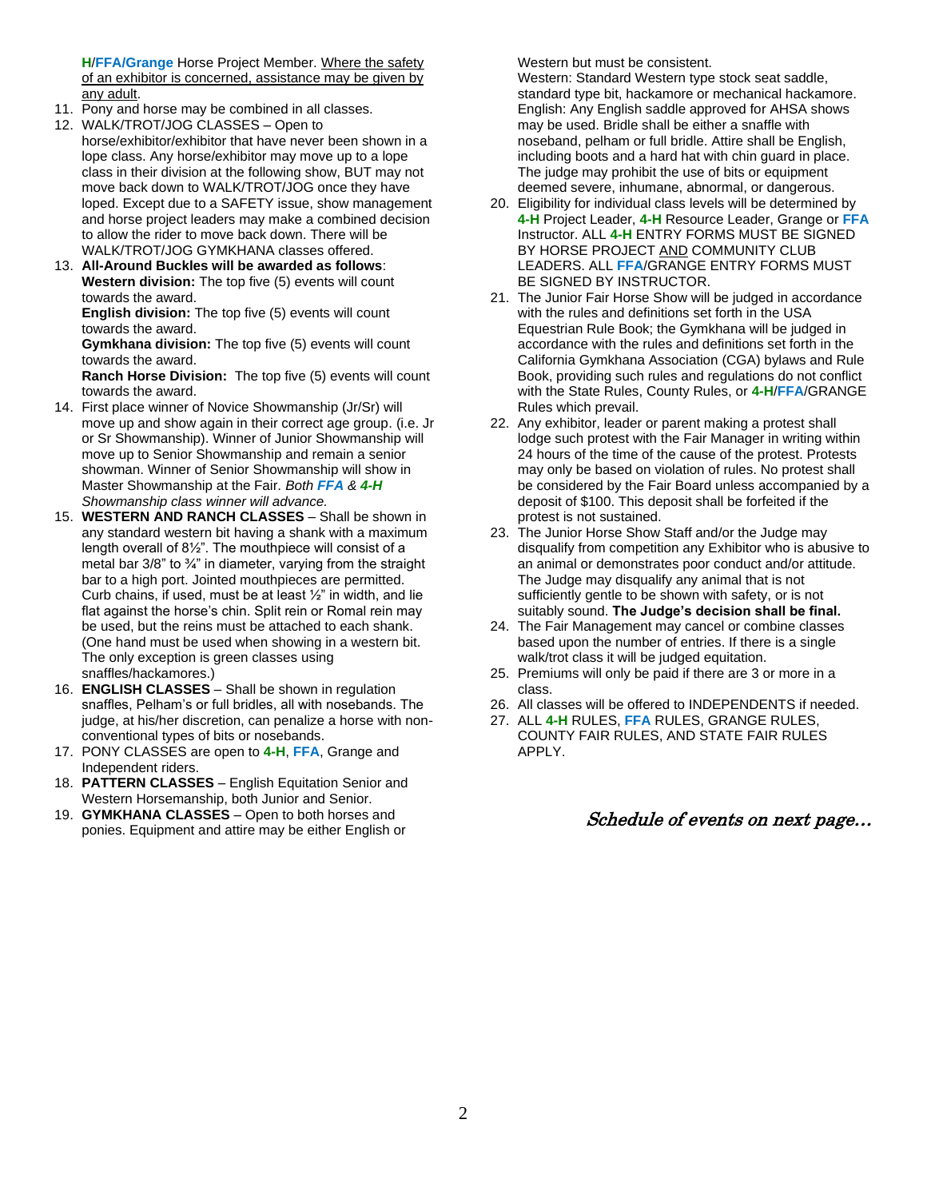**H**/**FFA/Grange** Horse Project Member. Where the safety of an exhibitor is concerned, assistance may be given by any adult.

- 11. Pony and horse may be combined in all classes.
- 12. WALK/TROT/JOG CLASSES Open to horse/exhibitor/exhibitor that have never been shown in a lope class. Any horse/exhibitor may move up to a lope class in their division at the following show, BUT may not move back down to WALK/TROT/JOG once they have loped. Except due to a SAFETY issue, show management and horse project leaders may make a combined decision to allow the rider to move back down. There will be WALK/TROT/JOG GYMKHANA classes offered.
- 13. **All-Around Buckles will be awarded as follows**: **Western division:** The top five (5) events will count towards the award.

**English division:** The top five (5) events will count towards the award.

**Gymkhana division:** The top five (5) events will count towards the award.

**Ranch Horse Division:** The top five (5) events will count towards the award.

- 14. First place winner of Novice Showmanship (Jr/Sr) will move up and show again in their correct age group. (i.e. Jr or Sr Showmanship). Winner of Junior Showmanship will move up to Senior Showmanship and remain a senior showman. Winner of Senior Showmanship will show in Master Showmanship at the Fair. *Both FFA & 4-H Showmanship class winner will advance.*
- 15. **WESTERN AND RANCH CLASSES** Shall be shown in any standard western bit having a shank with a maximum length overall of 8½". The mouthpiece will consist of a metal bar  $3/8$ " to  $\frac{3}{4}$ " in diameter, varying from the straight bar to a high port. Jointed mouthpieces are permitted. Curb chains, if used, must be at least  $\frac{1}{2}$ " in width, and lie flat against the horse's chin. Split rein or Romal rein may be used, but the reins must be attached to each shank. (One hand must be used when showing in a western bit. The only exception is green classes using snaffles/hackamores.)
- 16. **ENGLISH CLASSES** Shall be shown in regulation snaffles, Pelham's or full bridles, all with nosebands. The judge, at his/her discretion, can penalize a horse with nonconventional types of bits or nosebands.
- 17. PONY CLASSES are open to **4-H**, **FFA**, Grange and Independent riders.
- 18. **PATTERN CLASSES** English Equitation Senior and Western Horsemanship, both Junior and Senior.
- 19. **GYMKHANA CLASSES** Open to both horses and ponies. Equipment and attire may be either English or

Western but must be consistent.

Western: Standard Western type stock seat saddle, standard type bit, hackamore or mechanical hackamore. English: Any English saddle approved for AHSA shows may be used. Bridle shall be either a snaffle with noseband, pelham or full bridle. Attire shall be English, including boots and a hard hat with chin guard in place. The judge may prohibit the use of bits or equipment deemed severe, inhumane, abnormal, or dangerous.

- 20. Eligibility for individual class levels will be determined by **4-H** Project Leader, **4-H** Resource Leader, Grange or **FFA** Instructor. ALL **4-H** ENTRY FORMS MUST BE SIGNED BY HORSE PROJECT AND COMMUNITY CLUB LEADERS. ALL **FFA**/GRANGE ENTRY FORMS MUST BE SIGNED BY INSTRUCTOR.
- 21. The Junior Fair Horse Show will be judged in accordance with the rules and definitions set forth in the USA Equestrian Rule Book; the Gymkhana will be judged in accordance with the rules and definitions set forth in the California Gymkhana Association (CGA) bylaws and Rule Book, providing such rules and regulations do not conflict with the State Rules, County Rules, or **4-H**/**FFA**/GRANGE Rules which prevail.
- 22. Any exhibitor, leader or parent making a protest shall lodge such protest with the Fair Manager in writing within 24 hours of the time of the cause of the protest. Protests may only be based on violation of rules. No protest shall be considered by the Fair Board unless accompanied by a deposit of \$100. This deposit shall be forfeited if the protest is not sustained.
- 23. The Junior Horse Show Staff and/or the Judge may disqualify from competition any Exhibitor who is abusive to an animal or demonstrates poor conduct and/or attitude. The Judge may disqualify any animal that is not sufficiently gentle to be shown with safety, or is not suitably sound. **The Judge's decision shall be final.**
- 24. The Fair Management may cancel or combine classes based upon the number of entries. If there is a single walk/trot class it will be judged equitation.
- 25. Premiums will only be paid if there are 3 or more in a class.
- 26. All classes will be offered to INDEPENDENTS if needed.
- 27. ALL **4-H** RULES, **FFA** RULES, GRANGE RULES, COUNTY FAIR RULES, AND STATE FAIR RULES APPLY.

#### Schedule of events on next page…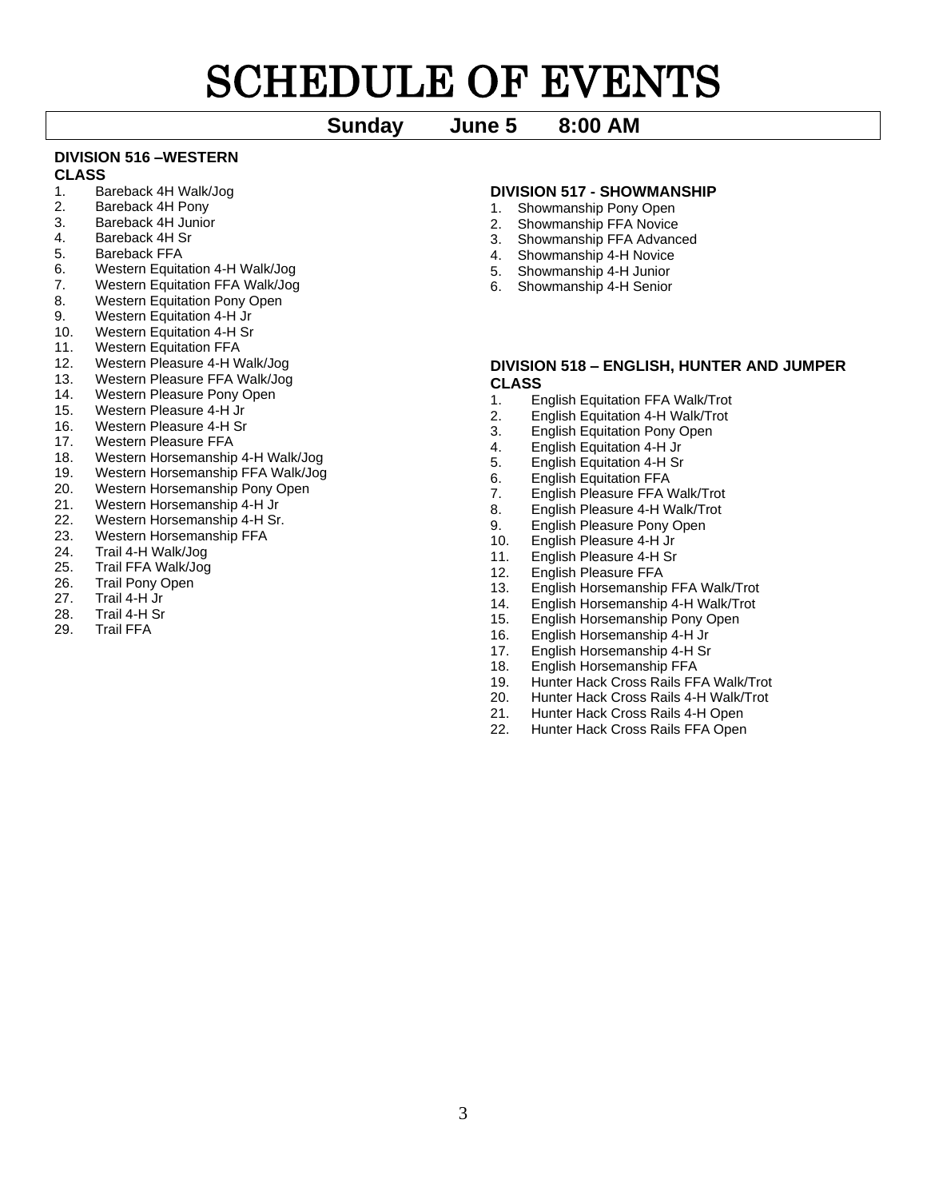# SCHEDULE OF EVENTS

## **Sunday June 5 8:00 AM**

# **DIVISION 516 –WESTERN**

### **CLASS**

- 1. Bareback 4H Walk/Jog
- 2. Bareback 4H Pony
- 3. Bareback 4H Junior
- 4. Bareback 4H Sr
- 5. Bareback FFA
- 6. Western Equitation 4-H Walk/Jog
- 7. Western Equitation FFA Walk/Jog
- 8. Western Equitation Pony Open
- 9. Western Equitation 4-H Jr
- 10. Western Equitation 4-H Sr
- 11. Western Equitation FFA
- 12. Western Pleasure 4-H Walk/Jog
- 13. Western Pleasure FFA Walk/Jog
- 14. Western Pleasure Pony Open
- 15. Western Pleasure 4-H Jr
- 16. Western Pleasure 4-H Sr
- 17. Western Pleasure FFA
- 
- 18. Western Horsemanship 4-H Walk/Jog<br>19. Western Horsemanship FFA Walk/Jog Western Horsemanship FFA Walk/Jog
- 20. Western Horsemanship Pony Open
- 21. Western Horsemanship 4-H Jr
- 22. Western Horsemanship 4-H Sr.
- 23. Western Horsemanship FFA
- 24. Trail 4-H Walk/Jog
- 25. Trail FFA Walk/Jog
- 
- 26. Trail Pony Open<br>27. Trail 4-H Jr Trail 4-H Jr
- 
- 28. Trail 4-H Sr<br>29. Trail FFA Trail FFA
- 

#### **DIVISION 517 - SHOWMANSHIP**

- 1. Showmanship Pony Open
- 2. Showmanship FFA Novice
- 3. Showmanship FFA Advanced
- 4. Showmanship 4-H Novice
- 5. Showmanship 4-H Junior
- 6. Showmanship 4-H Senior

#### **DIVISION 518 – ENGLISH, HUNTER AND JUMPER CLASS**

- 1. English Equitation FFA Walk/Trot
- 2. English Equitation 4-H Walk/Trot
- 3. English Equitation Pony Open
- 4. English Equitation 4-H Jr
- 5. English Equitation 4-H Sr
- 6. English Equitation FFA
- 7. English Pleasure FFA Walk/Trot<br>8. English Pleasure 4-H Walk/Trot
- English Pleasure 4-H Walk/Trot
- 9. English Pleasure Pony Open<br>10. English Pleasure 4-H Jr
- English Pleasure 4-H Jr
- 11. English Pleasure 4-H Sr
- 12. English Pleasure FFA
- 13. English Horsemanship FFA Walk/Trot
- 14. English Horsemanship 4-H Walk/Trot
- 15. English Horsemanship Pony Open
- 16. English Horsemanship 4-H Jr
- 17. English Horsemanship 4-H Sr
- 18. English Horsemanship FFA
- 19. Hunter Hack Cross Rails FFA Walk/Trot<br>20. Hunter Hack Cross Rails 4-H Walk/Trot
- 20. Hunter Hack Cross Rails 4-H Walk/Trot
- 21. Hunter Hack Cross Rails 4-H Open
- 22. Hunter Hack Cross Rails FFA Open